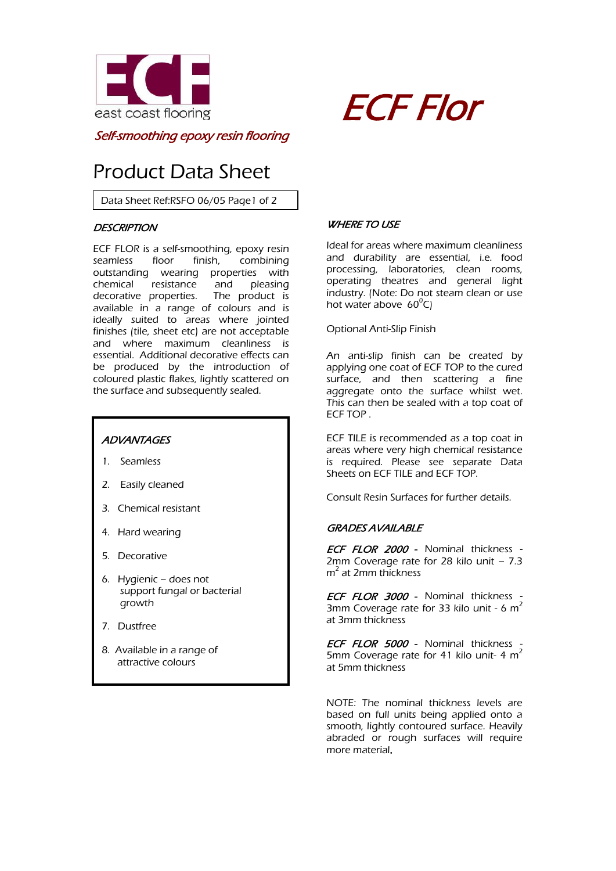



Self-smoothing epoxy resin flooring

# Product Data Sheet

Data Sheet Ref:RSFO 06/05 Page1 of 2

## **DESCRIPTION**

ECF FLOR is a self-smoothing, epoxy resin seamless floor finish, combining outstanding wearing properties with chemical resistance and pleasing decorative properties. The product is available in a range of colours and is ideally suited to areas where jointed finishes (tile, sheet etc) are not acceptable and where maximum cleanliness is essential. Additional decorative effects can be produced by the introduction of coloured plastic flakes, lightly scattered on the surface and subsequently sealed.

## **ADVANTAGES**

..

- 1. Seamless
- 2. Easily cleaned
- 3. Chemical resistant
- 4. Hard wearing
- 5. Decorative
- 6. Hygienic does not support fungal or bacterial growth
- 7. Dustfree
- 8. Available in a range of attractive colours

### **WHERE TO USE**

Ideal for areas where maximum cleanliness and durability are essential, i.e. food processing, laboratories, clean rooms, operating theatres and general light industry. (Note: Do not steam clean or use hot water above  $60^{\circ}$ C)

Optional Anti-Slip Finish

An anti-slip finish can be created by applying one coat of ECF TOP to the cured surface, and then scattering a fine aggregate onto the surface whilst wet. This can then be sealed with a top coat of ECF TOP .

ECF TILE is recommended as a top coat in areas where very high chemical resistance is required. Please see separate Data Sheets on ECF TILE and ECF TOP.

Consult Resin Surfaces for further details.

#### GRADES AVAILABLE

ECF FLOR 2000 - Nominal thickness -2mm Coverage rate for 28 kilo unit – 7.3 m<sup>2</sup> at 2mm thickness

ECF FLOR 3000 - Nominal thickness - 3mm Coverage rate for 33 kilo unit - 6  $m<sup>2</sup>$ at 3mm thickness

ECF FLOR 5000 - Nominal thickness -5mm Coverage rate for 41 kilo unit- 4  $m<sup>2</sup>$ at 5mm thickness

NOTE: The nominal thickness levels are based on full units being applied onto a smooth, lightly contoured surface. Heavily abraded or rough surfaces will require more material.